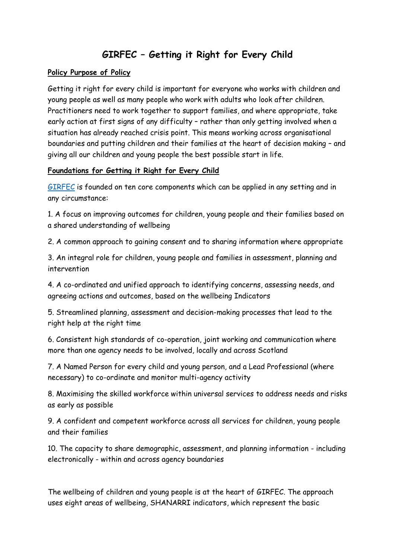## **GIRFEC – Getting it Right for Every Child**

## **Policy Purpose of Policy**

Getting it right for every child is important for everyone who works with children and young people as well as many people who work with adults who look after children. Practitioners need to work together to support families, and where appropriate, take early action at first signs of any difficulty – rather than only getting involved when a situation has already reached crisis point. This means working across organisational boundaries and putting children and their families at the heart of decision making – and giving all our children and young people the best possible start in life.

## **Foundations for Getting it Right for Every Child**

[GIRFEC](https://www2.gov.scot/Topics/People/Young-People/gettingitright/publications) is founded on ten core components which can be applied in any setting and in any circumstance:

1. A focus on improving outcomes for children, young people and their families based on a shared understanding of wellbeing

2. A common approach to gaining consent and to sharing information where appropriate

3. An integral role for children, young people and families in assessment, planning and intervention

4. A co-ordinated and unified approach to identifying concerns, assessing needs, and agreeing actions and outcomes, based on the wellbeing Indicators

5. Streamlined planning, assessment and decision-making processes that lead to the right help at the right time

6. Consistent high standards of co-operation, joint working and communication where more than one agency needs to be involved, locally and across Scotland

7. A Named Person for every child and young person, and a Lead Professional (where necessary) to co-ordinate and monitor multi-agency activity

8. Maximising the skilled workforce within universal services to address needs and risks as early as possible

9. A confident and competent workforce across all services for children, young people and their families

10. The capacity to share demographic, assessment, and planning information - including electronically - within and across agency boundaries

The wellbeing of children and young people is at the heart of GIRFEC. The approach uses eight areas of wellbeing, SHANARRI indicators, which represent the basic